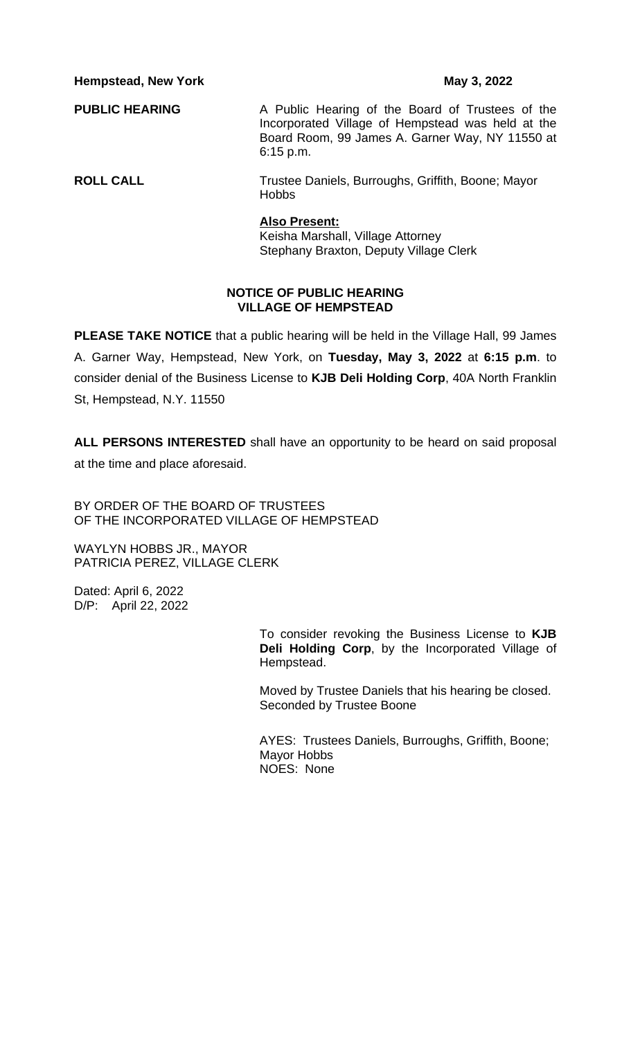**Hempstead, New York May 3, 2022** 

**PUBLIC HEARING** A Public Hearing of the Board of Trustees of the Incorporated Village of Hempstead was held at the Board Room, 99 James A. Garner Way, NY 11550 at 6:15 p.m.

**ROLL CALL** Trustee Daniels, Burroughs, Griffith, Boone; Mayor Hobbs

#### **Also Present:**

Keisha Marshall, Village Attorney Stephany Braxton, Deputy Village Clerk

### **NOTICE OF PUBLIC HEARING VILLAGE OF HEMPSTEAD**

**PLEASE TAKE NOTICE** that a public hearing will be held in the Village Hall, 99 James A. Garner Way, Hempstead, New York, on **Tuesday, May 3, 2022** at **6:15 p.m**. to consider denial of the Business License to **KJB Deli Holding Corp**, 40A North Franklin St, Hempstead, N.Y. 11550

**ALL PERSONS INTERESTED** shall have an opportunity to be heard on said proposal at the time and place aforesaid.

BY ORDER OF THE BOARD OF TRUSTEES OF THE INCORPORATED VILLAGE OF HEMPSTEAD

WAYLYN HOBBS JR., MAYOR PATRICIA PEREZ, VILLAGE CLERK

Dated: April 6, 2022 D/P: April 22, 2022

> To consider revoking the Business License to **KJB Deli Holding Corp**, by the Incorporated Village of Hempstead.

Moved by Trustee Daniels that his hearing be closed. Seconded by Trustee Boone

AYES: Trustees Daniels, Burroughs, Griffith, Boone; Mayor Hobbs NOES: None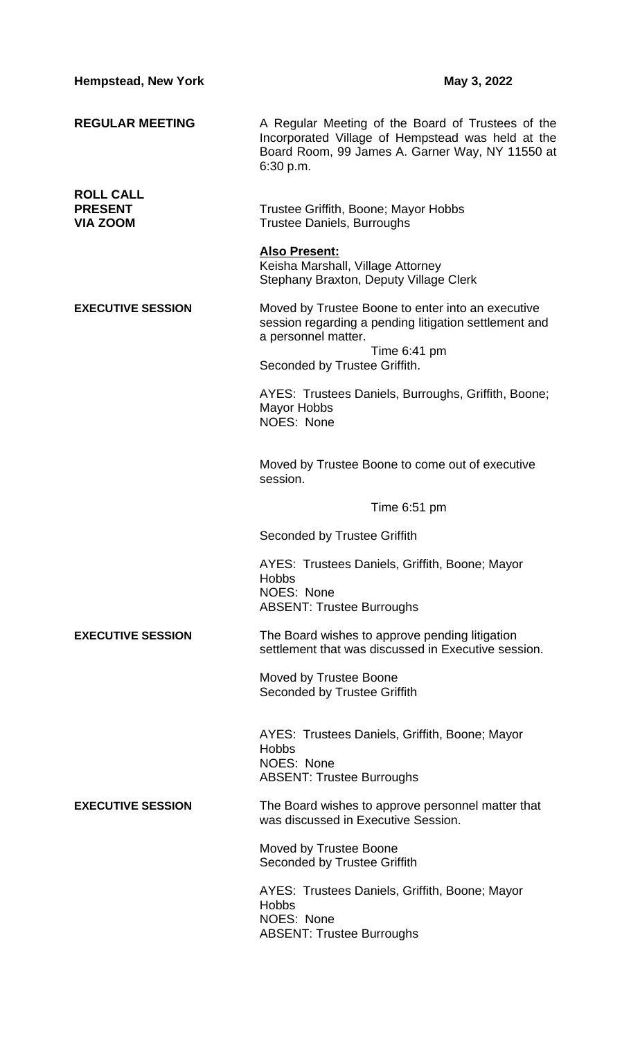| <b>Hempstead, New York</b>                            | May 3, 2022                                                                                                                                                            |
|-------------------------------------------------------|------------------------------------------------------------------------------------------------------------------------------------------------------------------------|
| <b>REGULAR MEETING</b>                                | A Regular Meeting of the Board of Trustees of the<br>Incorporated Village of Hempstead was held at the<br>Board Room, 99 James A. Garner Way, NY 11550 at<br>6:30 p.m. |
| <b>ROLL CALL</b><br><b>PRESENT</b><br><b>VIA ZOOM</b> | Trustee Griffith, Boone; Mayor Hobbs<br><b>Trustee Daniels, Burroughs</b>                                                                                              |
|                                                       | <b>Also Present:</b><br>Keisha Marshall, Village Attorney<br>Stephany Braxton, Deputy Village Clerk                                                                    |
| <b>EXECUTIVE SESSION</b>                              | Moved by Trustee Boone to enter into an executive<br>session regarding a pending litigation settlement and<br>a personnel matter.                                      |
|                                                       | Time $6:41$ pm<br>Seconded by Trustee Griffith.                                                                                                                        |
|                                                       | AYES: Trustees Daniels, Burroughs, Griffith, Boone;<br><b>Mayor Hobbs</b><br>NOES: None                                                                                |
|                                                       | Moved by Trustee Boone to come out of executive<br>session.                                                                                                            |
|                                                       | Time 6:51 pm                                                                                                                                                           |
|                                                       | Seconded by Trustee Griffith                                                                                                                                           |
|                                                       | AYES: Trustees Daniels, Griffith, Boone; Mayor<br><b>Hobbs</b>                                                                                                         |
|                                                       | NOES: None<br><b>ABSENT: Trustee Burroughs</b>                                                                                                                         |
| <b>EXECUTIVE SESSION</b>                              | The Board wishes to approve pending litigation<br>settlement that was discussed in Executive session.                                                                  |
|                                                       | Moved by Trustee Boone<br><b>Seconded by Trustee Griffith</b>                                                                                                          |
|                                                       | AYES: Trustees Daniels, Griffith, Boone; Mayor<br><b>Hobbs</b><br>NOES: None<br><b>ABSENT: Trustee Burroughs</b>                                                       |
| <b>EXECUTIVE SESSION</b>                              | The Board wishes to approve personnel matter that<br>was discussed in Executive Session.                                                                               |
|                                                       | Moved by Trustee Boone<br><b>Seconded by Trustee Griffith</b>                                                                                                          |
|                                                       | AYES: Trustees Daniels, Griffith, Boone; Mayor<br><b>Hobbs</b><br>NOES: None<br><b>ABSENT: Trustee Burroughs</b>                                                       |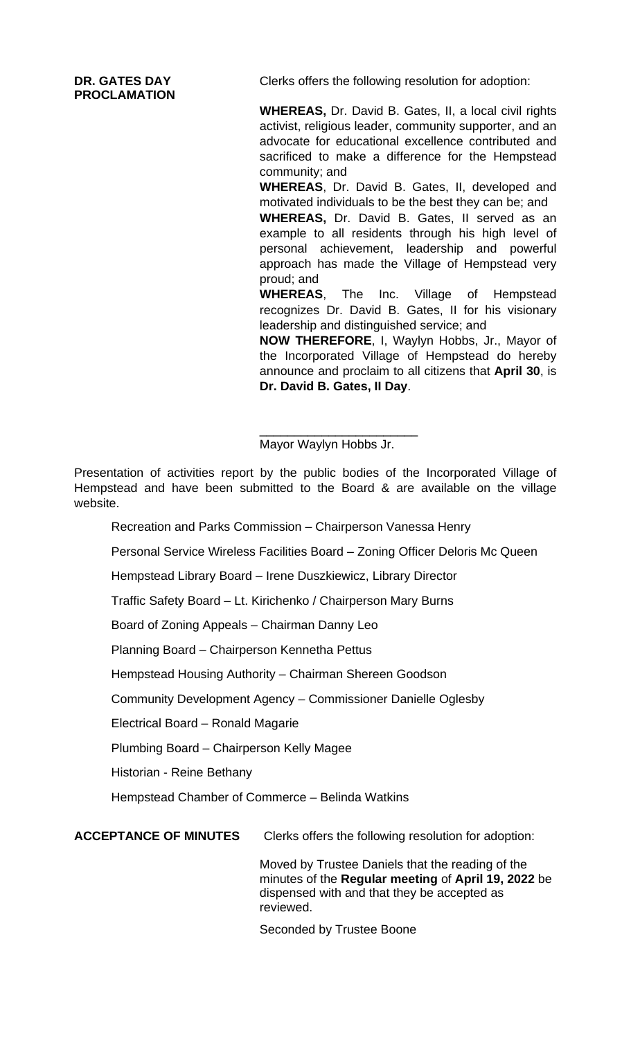**PROCLAMATION**

**DR. GATES DAY** Clerks offers the following resolution for adoption:

**WHEREAS,** Dr. David B. Gates, II, a local civil rights activist, religious leader, community supporter, and an advocate for educational excellence contributed and sacrificed to make a difference for the Hempstead community; and

**WHEREAS**, Dr. David B. Gates, II, developed and motivated individuals to be the best they can be; and

**WHEREAS,** Dr. David B. Gates, II served as an example to all residents through his high level of personal achievement, leadership and powerful approach has made the Village of Hempstead very proud; and

**WHEREAS**, The Inc. Village of Hempstead recognizes Dr. David B. Gates, II for his visionary leadership and distinguished service; and

**NOW THEREFORE**, I, Waylyn Hobbs, Jr., Mayor of the Incorporated Village of Hempstead do hereby announce and proclaim to all citizens that **April 30**, is **Dr. David B. Gates, II Day**.

\_\_\_\_\_\_\_\_\_\_\_\_\_\_\_\_\_\_\_\_\_\_\_ Mayor Waylyn Hobbs Jr.

Presentation of activities report by the public bodies of the Incorporated Village of Hempstead and have been submitted to the Board & are available on the village website.

Recreation and Parks Commission – Chairperson Vanessa Henry

Personal Service Wireless Facilities Board – Zoning Officer Deloris Mc Queen

Hempstead Library Board – Irene Duszkiewicz, Library Director

Traffic Safety Board – Lt. Kirichenko / Chairperson Mary Burns

Board of Zoning Appeals – Chairman Danny Leo

Planning Board – Chairperson Kennetha Pettus

Hempstead Housing Authority – Chairman Shereen Goodson

Community Development Agency – Commissioner Danielle Oglesby

Electrical Board – Ronald Magarie

Plumbing Board – Chairperson Kelly Magee

Historian - Reine Bethany

Hempstead Chamber of Commerce – Belinda Watkins

**ACCEPTANCE OF MINUTES** Clerks offers the following resolution for adoption:

Moved by Trustee Daniels that the reading of the minutes of the **Regular meeting** of **April 19, 2022** be dispensed with and that they be accepted as reviewed.

Seconded by Trustee Boone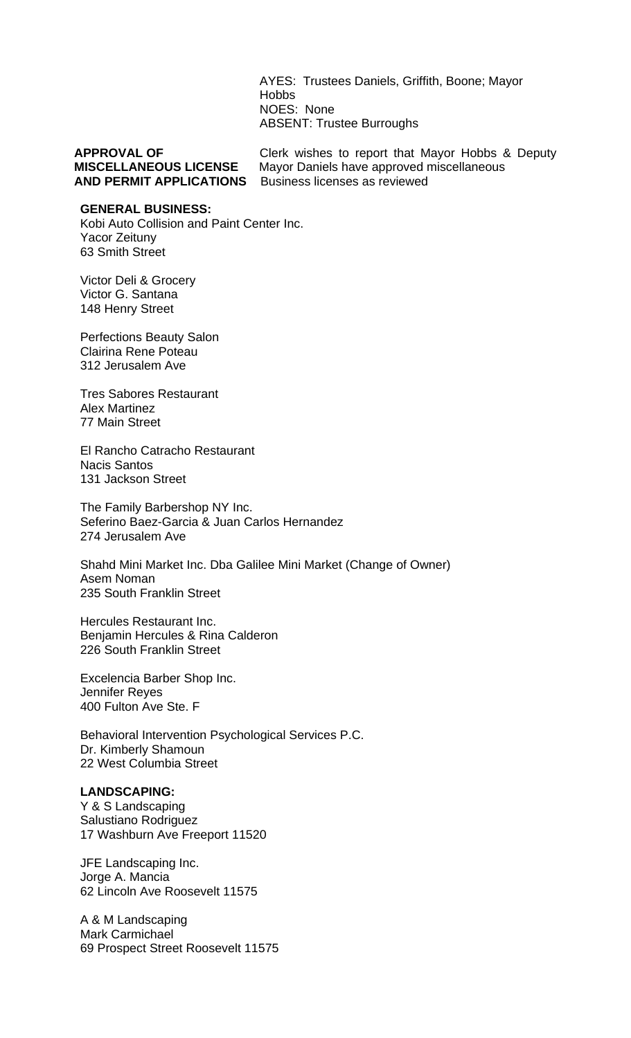AYES: Trustees Daniels, Griffith, Boone; Mayor Hobbs NOES: None ABSENT: Trustee Burroughs

**AND PERMIT APPLICATIONS** 

**APPROVAL OF** Clerk wishes to report that Mayor Hobbs & Deputy **MISCELLANEOUS LICENSE** Mayor Daniels have approved miscellaneous **AND PERMIT APPLICATIONS** Business licenses as reviewed

#### **GENERAL BUSINESS:**

Kobi Auto Collision and Paint Center Inc. Yacor Zeituny 63 Smith Street

Victor Deli & Grocery Victor G. Santana 148 Henry Street

Perfections Beauty Salon Clairina Rene Poteau 312 Jerusalem Ave

Tres Sabores Restaurant Alex Martinez 77 Main Street

El Rancho Catracho Restaurant Nacis Santos 131 Jackson Street

The Family Barbershop NY Inc. Seferino Baez-Garcia & Juan Carlos Hernandez 274 Jerusalem Ave

Shahd Mini Market Inc. Dba Galilee Mini Market (Change of Owner) Asem Noman 235 South Franklin Street

Hercules Restaurant Inc. Benjamin Hercules & Rina Calderon 226 South Franklin Street

Excelencia Barber Shop Inc. Jennifer Reyes 400 Fulton Ave Ste. F

Behavioral Intervention Psychological Services P.C. Dr. Kimberly Shamoun 22 West Columbia Street

### **LANDSCAPING:**

Y & S Landscaping Salustiano Rodriguez 17 Washburn Ave Freeport 11520

JFE Landscaping Inc. Jorge A. Mancia 62 Lincoln Ave Roosevelt 11575

A & M Landscaping Mark Carmichael 69 Prospect Street Roosevelt 11575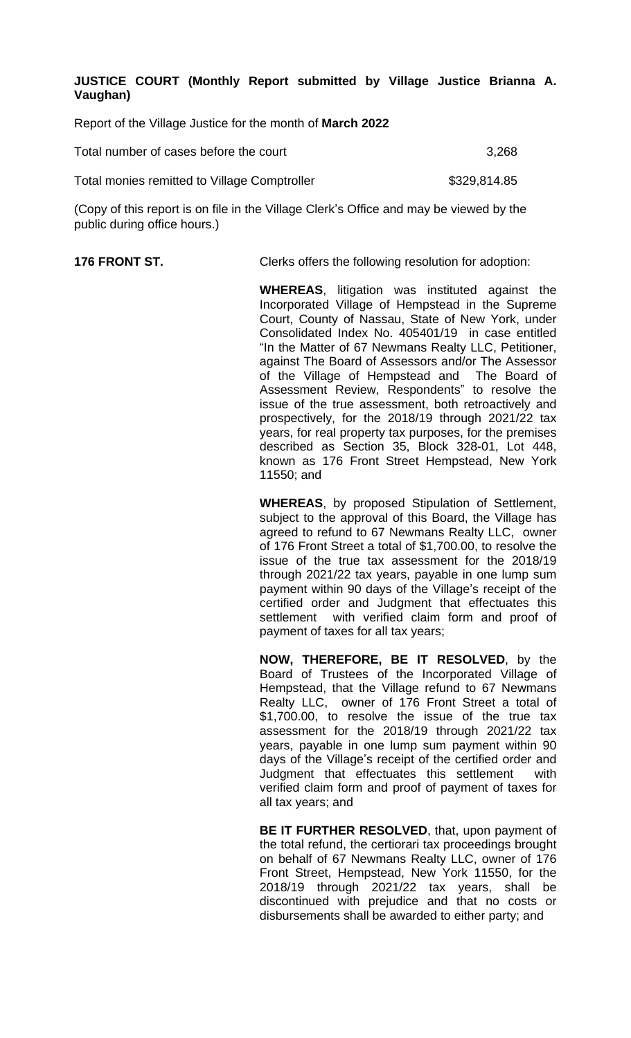**JUSTICE COURT (Monthly Report submitted by Village Justice Brianna A. Vaughan)**

Report of the Village Justice for the month of **March 2022**

| Total number of cases before the court       | 3,268        |
|----------------------------------------------|--------------|
| Total monies remitted to Village Comptroller | \$329,814.85 |

(Copy of this report is on file in the Village Clerk's Office and may be viewed by the public during office hours.)

**176 FRONT ST.** Clerks offers the following resolution for adoption:

**WHEREAS**, litigation was instituted against the Incorporated Village of Hempstead in the Supreme Court, County of Nassau, State of New York, under Consolidated Index No. 405401/19 in case entitled "In the Matter of 67 Newmans Realty LLC, Petitioner, against The Board of Assessors and/or The Assessor of the Village of Hempstead and The Board of Assessment Review, Respondents" to resolve the issue of the true assessment, both retroactively and prospectively, for the 2018/19 through 2021/22 tax years, for real property tax purposes, for the premises described as Section 35, Block 328-01, Lot 448, known as 176 Front Street Hempstead, New York 11550; and

**WHEREAS**, by proposed Stipulation of Settlement, subject to the approval of this Board, the Village has agreed to refund to 67 Newmans Realty LLC, owner of 176 Front Street a total of \$1,700.00, to resolve the issue of the true tax assessment for the 2018/19 through 2021/22 tax years, payable in one lump sum payment within 90 days of the Village's receipt of the certified order and Judgment that effectuates this settlement with verified claim form and proof of payment of taxes for all tax years;

**NOW, THEREFORE, BE IT RESOLVED**, by the Board of Trustees of the Incorporated Village of Hempstead, that the Village refund to 67 Newmans Realty LLC, owner of 176 Front Street a total of \$1,700.00, to resolve the issue of the true tax assessment for the 2018/19 through 2021/22 tax years, payable in one lump sum payment within 90 days of the Village's receipt of the certified order and Judgment that effectuates this settlement with verified claim form and proof of payment of taxes for all tax years; and

**BE IT FURTHER RESOLVED**, that, upon payment of the total refund, the certiorari tax proceedings brought on behalf of 67 Newmans Realty LLC, owner of 176 Front Street, Hempstead, New York 11550, for the 2018/19 through 2021/22 tax years, shall be discontinued with prejudice and that no costs or disbursements shall be awarded to either party; and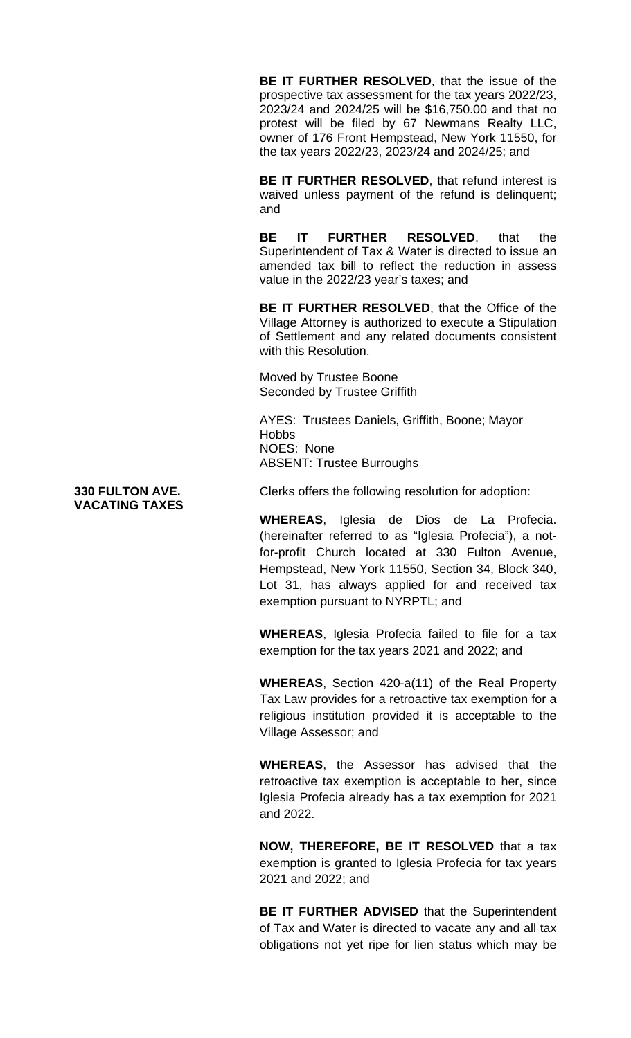**BE IT FURTHER RESOLVED**, that the issue of the prospective tax assessment for the tax years 2022/23, 2023/24 and 2024/25 will be \$16,750.00 and that no protest will be filed by 67 Newmans Realty LLC, owner of 176 Front Hempstead, New York 11550, for the tax years 2022/23, 2023/24 and 2024/25; and

**BE IT FURTHER RESOLVED**, that refund interest is waived unless payment of the refund is delinquent; and

**BE IT FURTHER RESOLVED**, that the Superintendent of Tax & Water is directed to issue an amended tax bill to reflect the reduction in assess value in the 2022/23 year's taxes; and

**BE IT FURTHER RESOLVED**, that the Office of the Village Attorney is authorized to execute a Stipulation of Settlement and any related documents consistent with this Resolution.

Moved by Trustee Boone Seconded by Trustee Griffith

AYES: Trustees Daniels, Griffith, Boone; Mayor **Hobbs** NOES: None ABSENT: Trustee Burroughs

**330 FULTON AVE.** Clerks offers the following resolution for adoption:

**WHEREAS**, Iglesia de Dios de La Profecia. (hereinafter referred to as "Iglesia Profecia"), a notfor-profit Church located at 330 Fulton Avenue, Hempstead, New York 11550, Section 34, Block 340, Lot 31, has always applied for and received tax exemption pursuant to NYRPTL; and

**WHEREAS**, Iglesia Profecia failed to file for a tax exemption for the tax years 2021 and 2022; and

**WHEREAS**, Section 420-a(11) of the Real Property Tax Law provides for a retroactive tax exemption for a religious institution provided it is acceptable to the Village Assessor; and

**WHEREAS**, the Assessor has advised that the retroactive tax exemption is acceptable to her, since Iglesia Profecia already has a tax exemption for 2021 and 2022.

**NOW, THEREFORE, BE IT RESOLVED** that a tax exemption is granted to Iglesia Profecia for tax years 2021 and 2022; and

**BE IT FURTHER ADVISED** that the Superintendent of Tax and Water is directed to vacate any and all tax obligations not yet ripe for lien status which may be

**VACATING TAXES**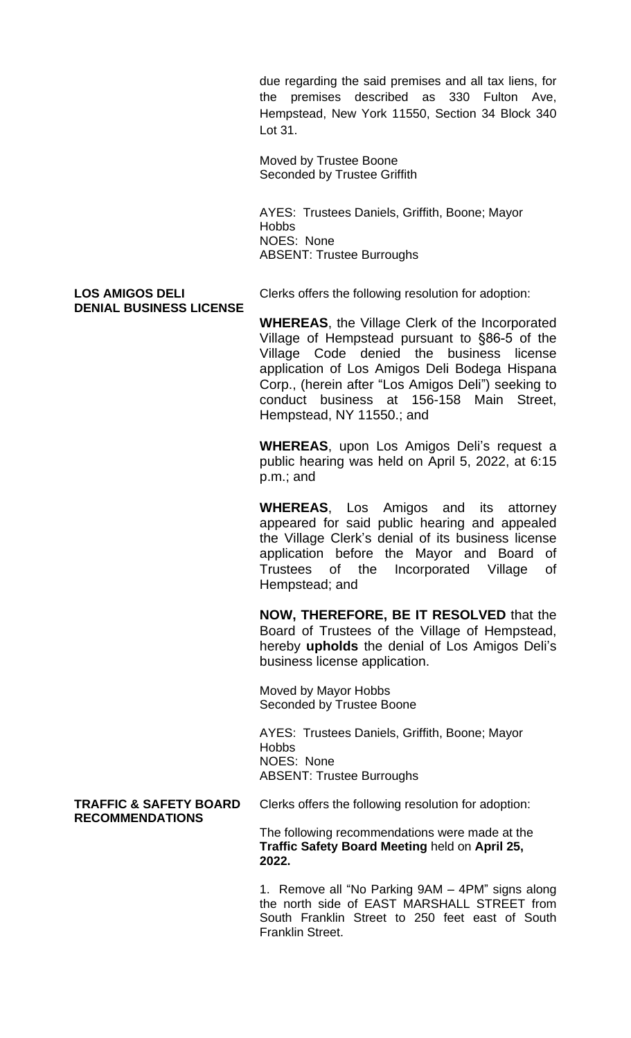due regarding the said premises and all tax liens, for the premises described as 330 Fulton Ave, Hempstead, New York 11550, Section 34 Block 340 Lot 31.

Moved by Trustee Boone Seconded by Trustee Griffith

AYES: Trustees Daniels, Griffith, Boone; Mayor **Hobbs** NOES: None ABSENT: Trustee Burroughs

# **DENIAL BUSINESS LICENSE**

LOS AMIGOS DELI Clerks offers the following resolution for adoption:

**WHEREAS**, the Village Clerk of the Incorporated Village of Hempstead pursuant to §86-5 of the Village Code denied the business license application of Los Amigos Deli Bodega Hispana Corp., (herein after "Los Amigos Deli") seeking to conduct business at 156-158 Main Street, Hempstead, NY 11550.; and

**WHEREAS**, upon Los Amigos Deli's request a public hearing was held on April 5, 2022, at 6:15 p.m.; and

**WHEREAS**, Los Amigos and its attorney appeared for said public hearing and appealed the Village Clerk's denial of its business license application before the Mayor and Board of Trustees of the Incorporated Village of Hempstead; and

**NOW, THEREFORE, BE IT RESOLVED** that the Board of Trustees of the Village of Hempstead, hereby **upholds** the denial of Los Amigos Deli's business license application.

Moved by Mayor Hobbs Seconded by Trustee Boone

AYES: Trustees Daniels, Griffith, Boone; Mayor **Hobbs** NOES: None ABSENT: Trustee Burroughs

# **RECOMMENDATIONS**

**TRAFFIC & SAFETY BOARD** Clerks offers the following resolution for adoption:

The following recommendations were made at the **Traffic Safety Board Meeting** held on **April 25, 2022.**

1. Remove all "No Parking 9AM – 4PM" signs along the north side of EAST MARSHALL STREET from South Franklin Street to 250 feet east of South Franklin Street.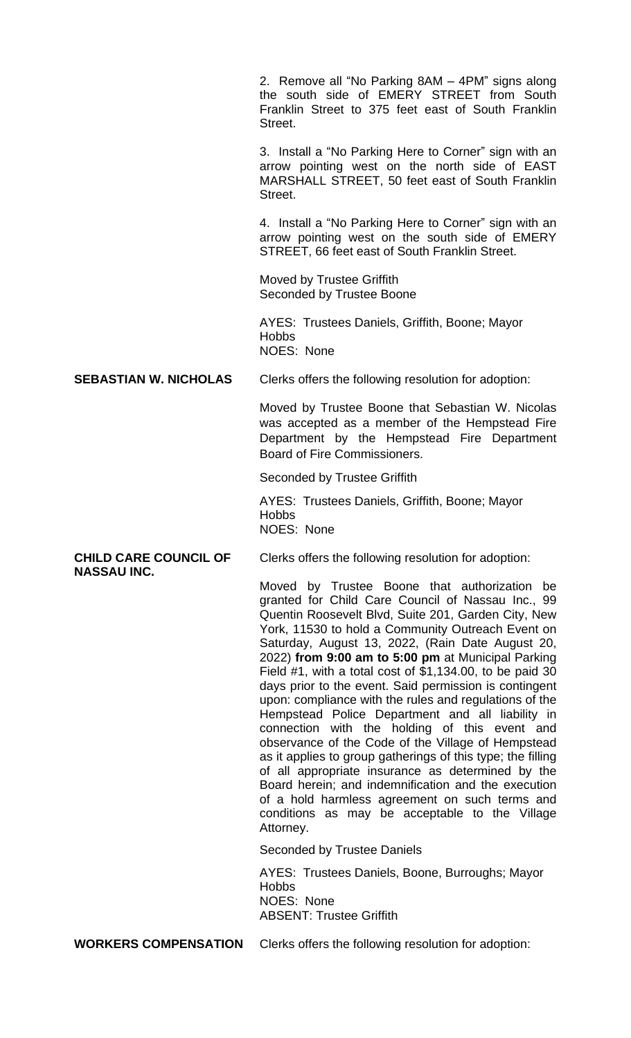2. Remove all "No Parking 8AM – 4PM" signs along the south side of EMERY STREET from South Franklin Street to 375 feet east of South Franklin Street.

3. Install a "No Parking Here to Corner" sign with an arrow pointing west on the north side of EAST MARSHALL STREET, 50 feet east of South Franklin Street.

4. Install a "No Parking Here to Corner" sign with an arrow pointing west on the south side of EMERY STREET, 66 feet east of South Franklin Street.

Moved by Trustee Griffith Seconded by Trustee Boone

AYES: Trustees Daniels, Griffith, Boone; Mayor **Hobbs** NOES: None

**SEBASTIAN W. NICHOLAS** Clerks offers the following resolution for adoption:

Moved by Trustee Boone that Sebastian W. Nicolas was accepted as a member of the Hempstead Fire Department by the Hempstead Fire Department Board of Fire Commissioners.

Seconded by Trustee Griffith

AYES: Trustees Daniels, Griffith, Boone; Mayor Hobbs NOES: None

**CHILD CARE COUNCIL OF** Clerks offers the following resolution for adoption: **NASSAU INC.**

> Moved by Trustee Boone that authorization be granted for Child Care Council of Nassau Inc., 99 Quentin Roosevelt Blvd, Suite 201, Garden City, New York, 11530 to hold a Community Outreach Event on Saturday, August 13, 2022, (Rain Date August 20, 2022) **from 9:00 am to 5:00 pm** at Municipal Parking Field #1, with a total cost of \$1,134.00, to be paid 30 days prior to the event. Said permission is contingent upon: compliance with the rules and regulations of the Hempstead Police Department and all liability in connection with the holding of this event and observance of the Code of the Village of Hempstead as it applies to group gatherings of this type; the filling of all appropriate insurance as determined by the Board herein; and indemnification and the execution of a hold harmless agreement on such terms and conditions as may be acceptable to the Village Attorney.

Seconded by Trustee Daniels

AYES: Trustees Daniels, Boone, Burroughs; Mayor **Hobbs** NOES: None ABSENT: Trustee Griffith

**WORKERS COMPENSATION** Clerks offers the following resolution for adoption: